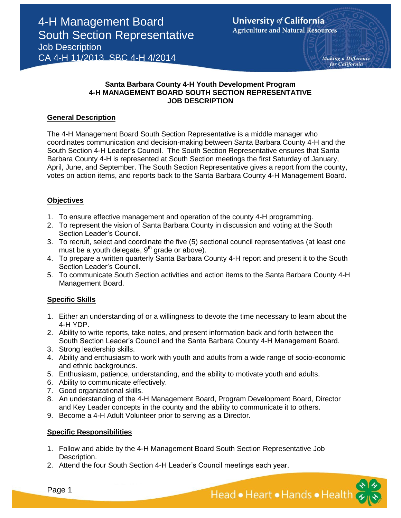Making a Difference for California

## **Santa Barbara County 4-H Youth Development Program 4-H MANAGEMENT BOARD SOUTH SECTION REPRESENTATIVE JOB DESCRIPTION**

## **General Description**

The 4-H Management Board South Section Representative is a middle manager who coordinates communication and decision-making between Santa Barbara County 4-H and the South Section 4-H Leader's Council. The South Section Representative ensures that Santa Barbara County 4-H is represented at South Section meetings the first Saturday of January, April, June, and September. The South Section Representative gives a report from the county, votes on action items, and reports back to the Santa Barbara County 4-H Management Board.

## **Objectives**

- 1. To ensure effective management and operation of the county 4-H programming.
- 2. To represent the vision of Santa Barbara County in discussion and voting at the South Section Leader's Council.
- 3. To recruit, select and coordinate the five (5) sectional council representatives (at least one must be a youth delegate,  $9<sup>th</sup>$  grade or above).
- 4. To prepare a written quarterly Santa Barbara County 4-H report and present it to the South Section Leader's Council.
- 5. To communicate South Section activities and action items to the Santa Barbara County 4-H Management Board.

# **Specific Skills**

- 1. Either an understanding of or a willingness to devote the time necessary to learn about the 4-H YDP.
- 2. Ability to write reports, take notes, and present information back and forth between the South Section Leader's Council and the Santa Barbara County 4-H Management Board.
- 3. Strong leadership skills.
- 4. Ability and enthusiasm to work with youth and adults from a wide range of socio-economic and ethnic backgrounds.
- 5. Enthusiasm, patience, understanding, and the ability to motivate youth and adults.
- 6. Ability to communicate effectively.
- 7. Good organizational skills.
- 8. An understanding of the 4-H Management Board, Program Development Board, Director and Key Leader concepts in the county and the ability to communicate it to others.
- 9. Become a 4-H Adult Volunteer prior to serving as a Director.

### **Specific Responsibilities**

- 1. Follow and abide by the 4-H Management Board South Section Representative Job Description.
- 2. Attend the four South Section 4-H Leader's Council meetings each year.

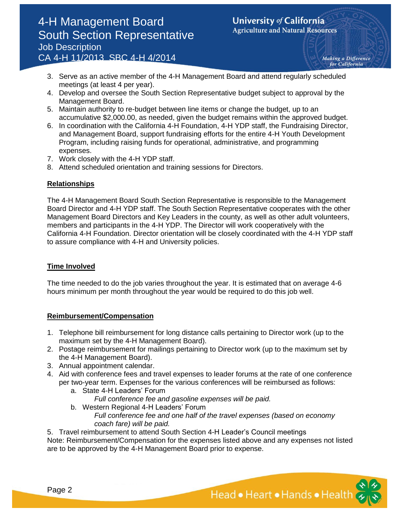# 4-H Management Board South Section Representative Job Description CA 4-H 11/2013 SBC 4-H 4/2014

Making a Difference for California

- 3. Serve as an active member of the 4-H Management Board and attend regularly scheduled meetings (at least 4 per year).
- 4. Develop and oversee the South Section Representative budget subject to approval by the Management Board.
- 5. Maintain authority to re-budget between line items or change the budget, up to an accumulative \$2,000.00, as needed, given the budget remains within the approved budget.
- 6. In coordination with the California 4-H Foundation, 4-H YDP staff, the Fundraising Director, and Management Board, support fundraising efforts for the entire 4-H Youth Development Program, including raising funds for operational, administrative, and programming expenses.
- 7. Work closely with the 4-H YDP staff.
- 8. Attend scheduled orientation and training sessions for Directors.

## **Relationships**

The 4-H Management Board South Section Representative is responsible to the Management Board Director and 4-H YDP staff. The South Section Representative cooperates with the other Management Board Directors and Key Leaders in the county, as well as other adult volunteers, members and participants in the 4-H YDP. The Director will work cooperatively with the California 4-H Foundation. Director orientation will be closely coordinated with the 4-H YDP staff to assure compliance with 4-H and University policies.

# **Time Involved**

The time needed to do the job varies throughout the year. It is estimated that on average 4-6 hours minimum per month throughout the year would be required to do this job well.

### **Reimbursement/Compensation**

- 1. Telephone bill reimbursement for long distance calls pertaining to Director work (up to the maximum set by the 4-H Management Board).
- 2. Postage reimbursement for mailings pertaining to Director work (up to the maximum set by the 4-H Management Board).
- 3. Annual appointment calendar.
- 4. Aid with conference fees and travel expenses to leader forums at the rate of one conference per two-year term. Expenses for the various conferences will be reimbursed as follows:
	- a. State 4-H Leaders' Forum
		- *Full conference fee and gasoline expenses will be paid.*
	- b. Western Regional 4-H Leaders' Forum *Full conference fee and one half of the travel expenses (based on economy coach fare) will be paid.*

5. Travel reimbursement to attend South Section 4-H Leader's Council meetings Note: Reimbursement/Compensation for the expenses listed above and any expenses not listed are to be approved by the 4-H Management Board prior to expense.